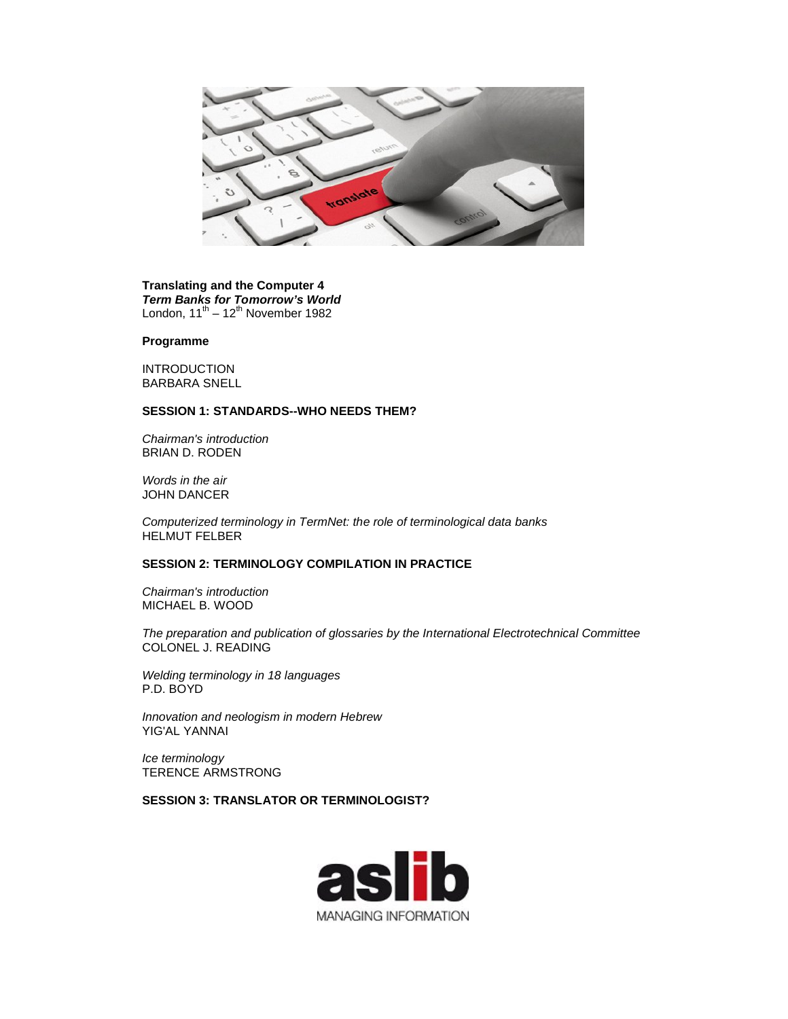

### **Translating and the Computer 4** *Term Banks for Tomorrow's World* London,  $11^{\text{th}} - 12^{\text{th}}$  November 1982

#### **Programme**

INTRODUCTION BARBARA SNELL

### **SESSION 1: STANDARDS--WHO NEEDS THEM?**

*Chairman's introduction*  BRIAN D. RODEN

*Words in the air*  JOHN DANCER

*Computerized terminology in TermNet: the role of terminological data banks*  HELMUT FELBER

## **SESSION 2: TERMINOLOGY COMPILATION IN PRACTICE**

*Chairman's introduction*  MICHAEL B. WOOD

*The preparation and publication of glossaries by the International Electrotechnical Committee*  COLONEL J. READING

*Welding terminology in 18 languages*  P.D. BOYD

*Innovation and neologism in modern Hebrew*  YIG'AL YANNAI

*Ice terminology* TERENCE ARMSTRONG

**SESSION 3: TRANSLATOR OR TERMINOLOGIST?** 

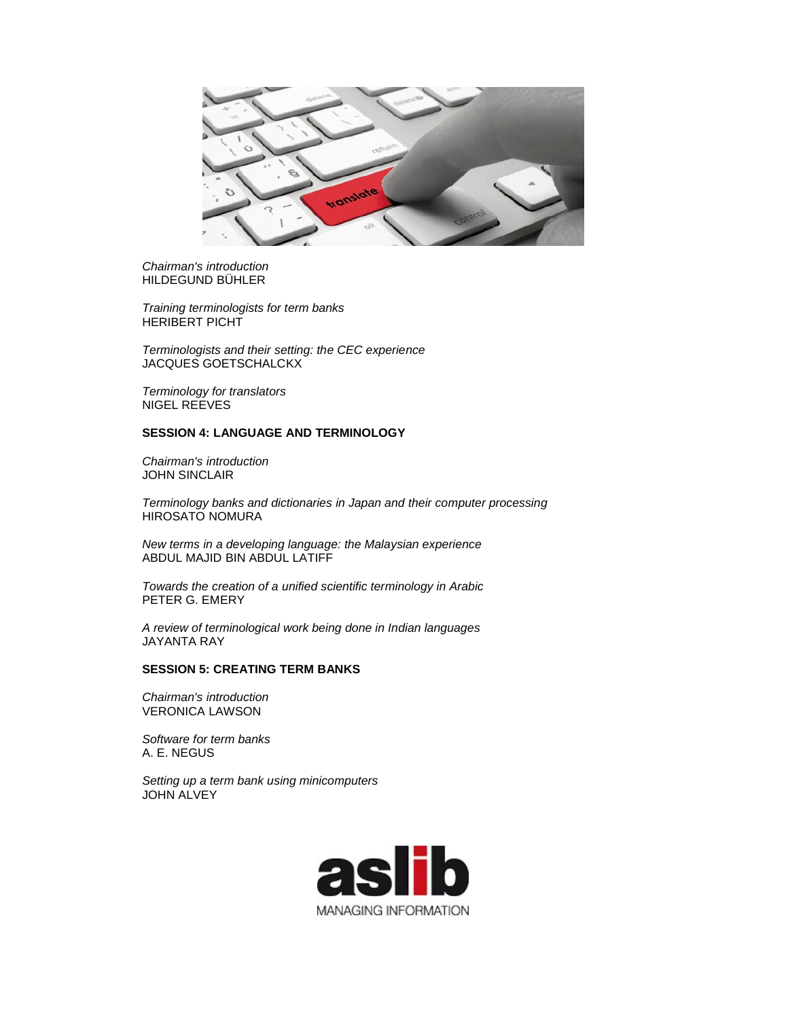

*Chairman's introduction*  HILDEGUND BÜHLER

*Training terminologists for term banks*  HERIBERT PICHT

*Terminologists and their setting: the CEC experience*  JACQUES GOETSCHALCKX

*Terminology for translators*  NIGEL REEVES

# **SESSION 4: LANGUAGE AND TERMINOLOGY**

*Chairman's introduction*  JOHN SINCLAIR

*Terminology banks and dictionaries in Japan and their computer processing*  HIROSATO NOMURA

*New terms in a developing language: the Malaysian experience*  ABDUL MAJID BIN ABDUL LATIFF

*Towards the creation of a unified scientific terminology in Arabic*  PETER G. EMERY

*A review of terminological work being done in Indian languages*  JAYANTA RAY

#### **SESSION 5: CREATING TERM BANKS**

*Chairman's introduction* VERONICA LAWSON

*Software for term banks*  A. E. NEGUS

*Setting up a term bank using minicomputers*  JOHN ALVEY